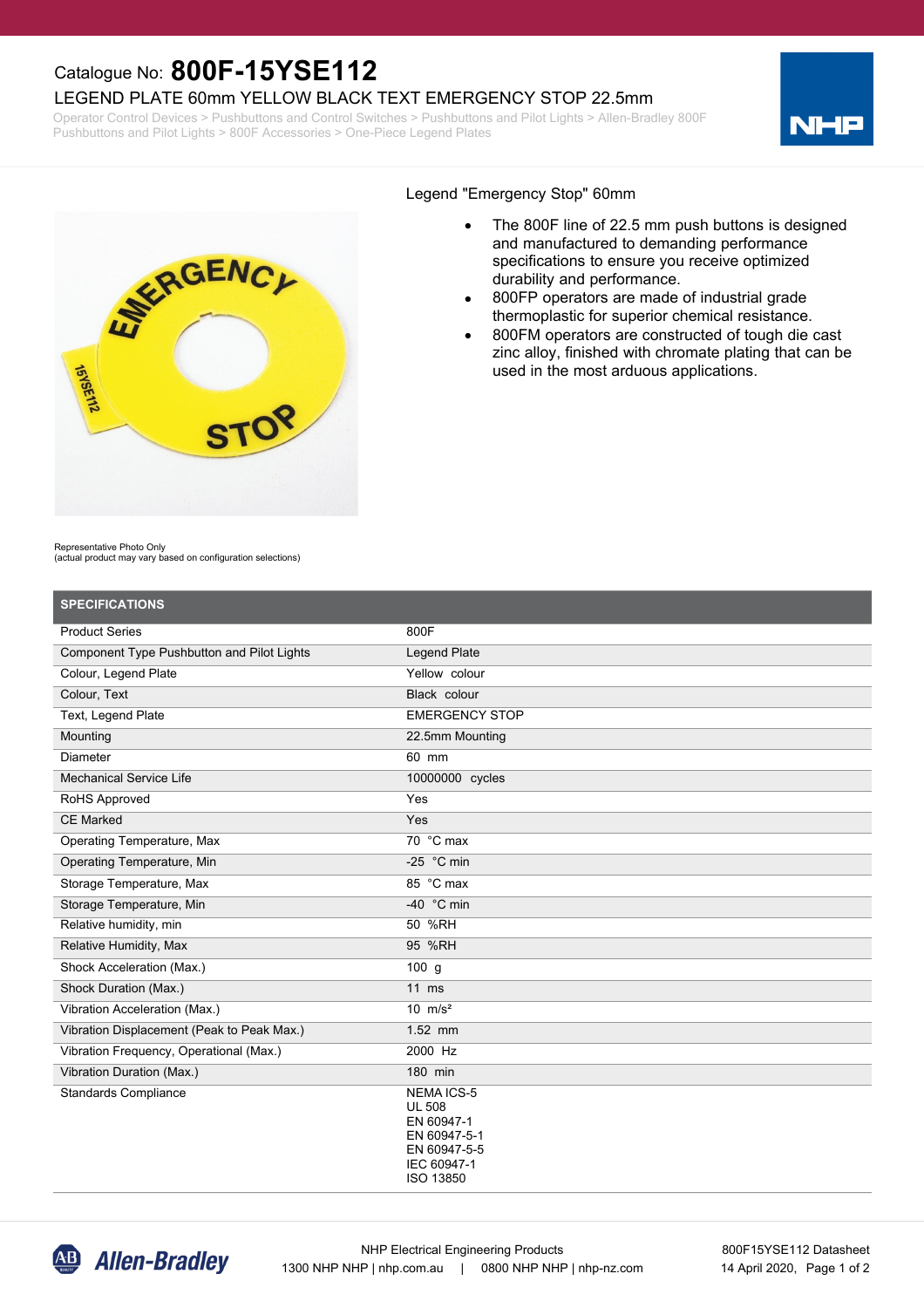## Catalogue No: **800F-15YSE112**

### LEGEND PLATE 60mm YELLOW BLACK TEXT EMERGENCY STOP 22.5mm

Operator Control Devices > Pushbuttons and Control Switches > Pushbuttons and Pilot Lights > Allen-Bradley 800F Pushbuttons and Pilot Lights > 800F Accessories > One-Piece Legend Plates





#### Legend "Emergency Stop" 60mm

- The 800F line of 22.5 mm push buttons is designed and manufactured to demanding performance specifications to ensure you receive optimized durability and performance.
- · 800FP operators are made of industrial grade thermoplastic for superior chemical resistance.
- 800FM operators are constructed of tough die cast zinc alloy, finished with chromate plating that can be used in the most arduous applications.

Representative Photo Only

(actual product may vary based on configuration selections)

| <b>SPECIFICATIONS</b>                             |                                                                                                             |
|---------------------------------------------------|-------------------------------------------------------------------------------------------------------------|
| <b>Product Series</b>                             | 800F                                                                                                        |
| <b>Component Type Pushbutton and Pilot Lights</b> | Legend Plate                                                                                                |
| Colour, Legend Plate                              | Yellow colour                                                                                               |
| Colour, Text                                      | Black colour                                                                                                |
| Text, Legend Plate                                | <b>EMERGENCY STOP</b>                                                                                       |
| Mounting                                          | 22.5mm Mounting                                                                                             |
| Diameter                                          | 60 mm                                                                                                       |
| <b>Mechanical Service Life</b>                    | 10000000 cycles                                                                                             |
| RoHS Approved                                     | Yes                                                                                                         |
| <b>CE Marked</b>                                  | Yes                                                                                                         |
| Operating Temperature, Max                        | 70 °C max                                                                                                   |
| Operating Temperature, Min                        | -25 $^{\circ}$ C min                                                                                        |
| Storage Temperature, Max                          | 85 °C max                                                                                                   |
| Storage Temperature, Min                          | -40 $\degree$ C min                                                                                         |
| Relative humidity, min                            | 50 %RH                                                                                                      |
| Relative Humidity, Max                            | 95 %RH                                                                                                      |
| Shock Acceleration (Max.)                         | $100$ g                                                                                                     |
| Shock Duration (Max.)                             | $11$ ms                                                                                                     |
| Vibration Acceleration (Max.)                     | $10 \text{ m/s}^2$                                                                                          |
| Vibration Displacement (Peak to Peak Max.)        | 1.52 mm                                                                                                     |
| Vibration Frequency, Operational (Max.)           | 2000 Hz                                                                                                     |
| Vibration Duration (Max.)                         | 180 min                                                                                                     |
| <b>Standards Compliance</b>                       | <b>NEMAICS-5</b><br><b>UL 508</b><br>EN 60947-1<br>EN 60947-5-1<br>EN 60947-5-5<br>IEC 60947-1<br>ISO 13850 |